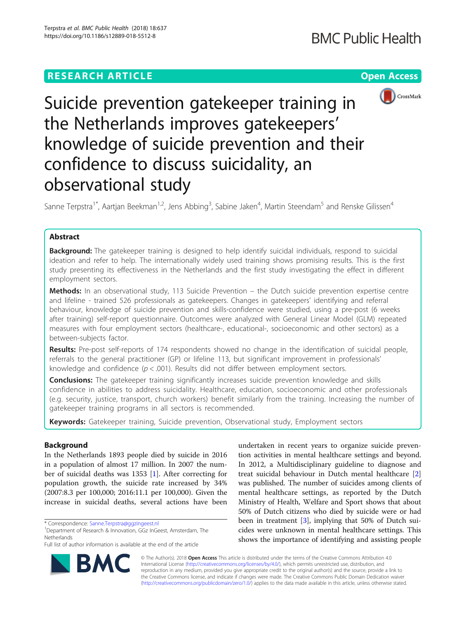

Suicide prevention gatekeeper training in the Netherlands improves gatekeepers' knowledge of suicide prevention and their confidence to discuss suicidality, an observational study

Sanne Terpstra<sup>1\*</sup>, Aartjan Beekman<sup>1,2</sup>, Jens Abbing<sup>3</sup>, Sabine Jaken<sup>4</sup>, Martin Steendam<sup>5</sup> and Renske Gilissen<sup>4</sup>

# Abstract

**Background:** The gatekeeper training is designed to help identify suicidal individuals, respond to suicidal ideation and refer to help. The internationally widely used training shows promising results. This is the first study presenting its effectiveness in the Netherlands and the first study investigating the effect in different employment sectors.

Methods: In an observational study, 113 Suicide Prevention – the Dutch suicide prevention expertise centre and lifeline - trained 526 professionals as gatekeepers. Changes in gatekeepers' identifying and referral behaviour, knowledge of suicide prevention and skills-confidence were studied, using a pre-post (6 weeks after training) self-report questionnaire. Outcomes were analyzed with General Linear Model (GLM) repeated measures with four employment sectors (healthcare-, educational-, socioeconomic and other sectors) as a between-subjects factor.

Results: Pre-post self-reports of 174 respondents showed no change in the identification of suicidal people, referrals to the general practitioner (GP) or lifeline 113, but significant improvement in professionals' knowledge and confidence ( $p < .001$ ). Results did not differ between employment sectors.

**Conclusions:** The gatekeeper training significantly increases suicide prevention knowledge and skills confidence in abilities to address suicidality. Healthcare, education, socioeconomic and other professionals (e.g. security, justice, transport, church workers) benefit similarly from the training. Increasing the number of gatekeeper training programs in all sectors is recommended.

Keywords: Gatekeeper training, Suicide prevention, Observational study, Employment sectors

# Background

In the Netherlands 1893 people died by suicide in 2016 in a population of almost 17 million. In 2007 the number of suicidal deaths was 1353 [[1\]](#page-6-0). After correcting for population growth, the suicide rate increased by 34% (2007:8.3 per 100,000; 2016:11.1 per 100,000). Given the increase in suicidal deaths, several actions have been

R.

Full list of author information is available at the end of the article



© The Author(s). 2018 Open Access This article is distributed under the terms of the Creative Commons Attribution 4.0 International License [\(http://creativecommons.org/licenses/by/4.0/](http://creativecommons.org/licenses/by/4.0/)), which permits unrestricted use, distribution, and reproduction in any medium, provided you give appropriate credit to the original author(s) and the source, provide a link to the Creative Commons license, and indicate if changes were made. The Creative Commons Public Domain Dedication waiver [\(http://creativecommons.org/publicdomain/zero/1.0/](http://creativecommons.org/publicdomain/zero/1.0/)) applies to the data made available in this article, unless otherwise stated.

<sup>\*</sup> Correspondence: [Sanne.Terpstra@ggzingeest.nl](mailto:Sanne.Terpstra@ggzingeest.nl) <sup>1</sup>

<sup>&</sup>lt;sup>1</sup>Department of Research & Innovation, GGz InGeest, Amsterdam, The **Netherlands**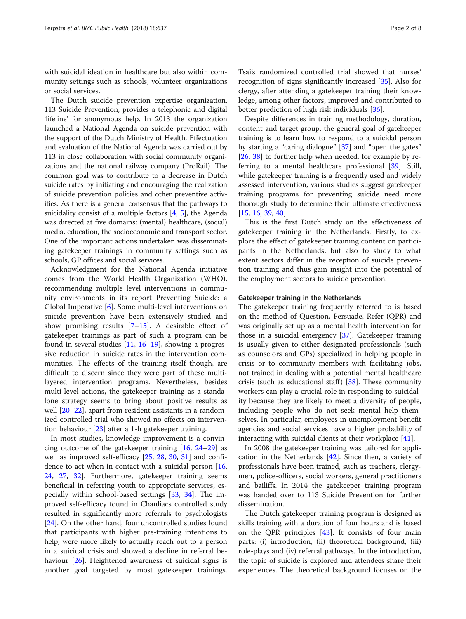with suicidal ideation in healthcare but also within community settings such as schools, volunteer organizations or social services.

The Dutch suicide prevention expertise organization, 113 Suicide Prevention, provides a telephonic and digital 'lifeline' for anonymous help. In 2013 the organization launched a National Agenda on suicide prevention with the support of the Dutch Ministry of Health. Effectuation and evaluation of the National Agenda was carried out by 113 in close collaboration with social community organizations and the national railway company (ProRail). The common goal was to contribute to a decrease in Dutch suicide rates by initiating and encouraging the realization of suicide prevention policies and other preventive activities. As there is a general consensus that the pathways to suicidality consist of a multiple factors [\[4,](#page-6-0) [5](#page-6-0)], the Agenda was directed at five domains: (mental) healthcare, (social) media, education, the socioeconomic and transport sector. One of the important actions undertaken was disseminating gatekeeper trainings in community settings such as schools, GP offices and social services.

Acknowledgment for the National Agenda initiative comes from the World Health Organization (WHO), recommending multiple level interventions in community environments in its report Preventing Suicide: a Global Imperative [[6\]](#page-6-0). Some multi-level interventions on suicide prevention have been extensively studied and show promising results  $[7-15]$  $[7-15]$  $[7-15]$ . A desirable effect of gatekeeper trainings as part of such a program can be found in several studies  $[11, 16–19]$  $[11, 16–19]$  $[11, 16–19]$  $[11, 16–19]$  $[11, 16–19]$  $[11, 16–19]$ , showing a progressive reduction in suicide rates in the intervention communities. The effects of the training itself though, are difficult to discern since they were part of these multilayered intervention programs. Nevertheless, besides multi-level actions, the gatekeeper training as a standalone strategy seems to bring about positive results as well [\[20](#page-6-0)–[22\]](#page-6-0), apart from resident assistants in a randomized controlled trial who showed no effects on intervention behaviour [\[23](#page-6-0)] after a 1-h gatekeeper training.

In most studies, knowledge improvement is a convincing outcome of the gatekeeper training  $[16, 24-29]$  $[16, 24-29]$  $[16, 24-29]$  $[16, 24-29]$  $[16, 24-29]$  $[16, 24-29]$  as well as improved self-efficacy [[25,](#page-6-0) [28](#page-6-0), [30,](#page-6-0) [31](#page-6-0)] and confidence to act when in contact with a suicidal person [[16](#page-6-0), [24,](#page-6-0) [27](#page-6-0), [32\]](#page-6-0). Furthermore, gatekeeper training seems beneficial in referring youth to appropriate services, especially within school-based settings [[33,](#page-6-0) [34](#page-6-0)]. The improved self-efficacy found in Chauliacs controlled study resulted in significantly more referrals to psychologists [[24\]](#page-6-0). On the other hand, four uncontrolled studies found that participants with higher pre-training intentions to help, were more likely to actually reach out to a person in a suicidal crisis and showed a decline in referral behaviour [\[26\]](#page-6-0). Heightened awareness of suicidal signs is another goal targeted by most gatekeeper trainings.

Tsai's randomized controlled trial showed that nurses' recognition of signs significantly increased [[35](#page-6-0)]. Also for clergy, after attending a gatekeeper training their knowledge, among other factors, improved and contributed to better prediction of high risk individuals [\[36](#page-6-0)].

Despite differences in training methodology, duration, content and target group, the general goal of gatekeeper training is to learn how to respond to a suicidal person by starting a "caring dialogue" [\[37](#page-6-0)] and "open the gates" [[26,](#page-6-0) [38\]](#page-6-0) to further help when needed, for example by referring to a mental healthcare professional [[39\]](#page-6-0). Still, while gatekeeper training is a frequently used and widely assessed intervention, various studies suggest gatekeeper training programs for preventing suicide need more thorough study to determine their ultimate effectiveness [[15,](#page-6-0) [16,](#page-6-0) [39,](#page-6-0) [40](#page-6-0)].

This is the first Dutch study on the effectiveness of gatekeeper training in the Netherlands. Firstly, to explore the effect of gatekeeper training content on participants in the Netherlands, but also to study to what extent sectors differ in the reception of suicide prevention training and thus gain insight into the potential of the employment sectors to suicide prevention.

### Gatekeeper training in the Netherlands

The gatekeeper training frequently referred to is based on the method of Question, Persuade, Refer (QPR) and was originally set up as a mental health intervention for those in a suicidal emergency [\[37](#page-6-0)]. Gatekeeper training is usually given to either designated professionals (such as counselors and GPs) specialized in helping people in crisis or to community members with facilitating jobs, not trained in dealing with a potential mental healthcare crisis (such as educational staff)  $[38]$ . These community workers can play a crucial role in responding to suicidality because they are likely to meet a diversity of people, including people who do not seek mental help themselves. In particular, employees in unemployment benefit agencies and social services have a higher probability of interacting with suicidal clients at their workplace [[41](#page-6-0)].

In 2008 the gatekeeper training was tailored for application in the Netherlands [[42](#page-6-0)]. Since then, a variety of professionals have been trained, such as teachers, clergymen, police-officers, social workers, general practitioners and bailiffs. In 2014 the gatekeeper training program was handed over to 113 Suicide Prevention for further dissemination.

The Dutch gatekeeper training program is designed as skills training with a duration of four hours and is based on the QPR principles [\[43\]](#page-6-0). It consists of four main parts: (i) introduction, (ii) theoretical background, (iii) role-plays and (iv) referral pathways. In the introduction, the topic of suicide is explored and attendees share their experiences. The theoretical background focuses on the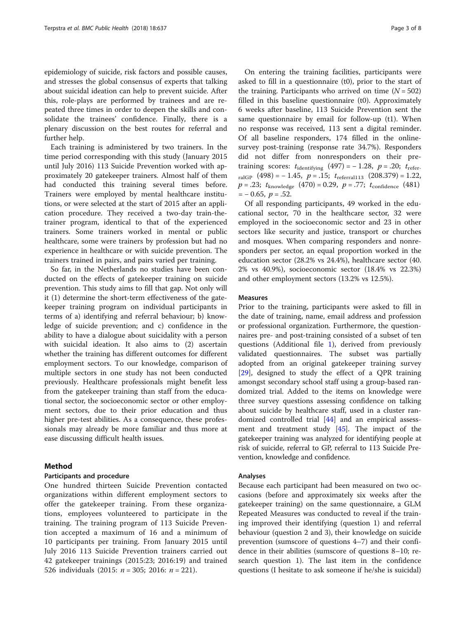epidemiology of suicide, risk factors and possible causes, and stresses the global consensus of experts that talking about suicidal ideation can help to prevent suicide. After this, role-plays are performed by trainees and are repeated three times in order to deepen the skills and consolidate the trainees' confidence. Finally, there is a plenary discussion on the best routes for referral and further help.

Each training is administered by two trainers. In the time period corresponding with this study (January 2015 until July 2016) 113 Suicide Prevention worked with approximately 20 gatekeeper trainers. Almost half of them had conducted this training several times before. Trainers were employed by mental healthcare institutions, or were selected at the start of 2015 after an application procedure. They received a two-day train-thetrainer program, identical to that of the experienced trainers. Some trainers worked in mental or public healthcare, some were trainers by profession but had no experience in healthcare or with suicide prevention. The trainers trained in pairs, and pairs varied per training.

So far, in the Netherlands no studies have been conducted on the effects of gatekeeper training on suicide prevention. This study aims to fill that gap. Not only will it (1) determine the short-term effectiveness of the gatekeeper training program on individual participants in terms of a) identifying and referral behaviour; b) knowledge of suicide prevention; and c) confidence in the ability to have a dialogue about suicidality with a person with suicidal ideation. It also aims to (2) ascertain whether the training has different outcomes for different employment sectors. To our knowledge, comparison of multiple sectors in one study has not been conducted previously. Healthcare professionals might benefit less from the gatekeeper training than staff from the educational sector, the socioeconomic sector or other employment sectors, due to their prior education and thus higher pre-test abilities. As a consequence, these professionals may already be more familiar and thus more at ease discussing difficult health issues.

## Method

### Participants and procedure

One hundred thirteen Suicide Prevention contacted organizations within different employment sectors to offer the gatekeeper training. From these organizations, employees volunteered to participate in the training. The training program of 113 Suicide Prevention accepted a maximum of 16 and a minimum of 10 participants per training. From January 2015 until July 2016 113 Suicide Prevention trainers carried out 42 gatekeeper trainings (2015:23; 2016:19) and trained 526 individuals (2015:  $n = 305$ ; 2016:  $n = 221$ ).

On entering the training facilities, participants were asked to fill in a questionnaire (t0), prior to the start of the training. Participants who arrived on time  $(N = 502)$ filled in this baseline questionnaire (t0). Approximately 6 weeks after baseline, 113 Suicide Prevention sent the same questionnaire by email for follow-up (t1). When no response was received, 113 sent a digital reminder. Of all baseline responders, 174 filled in the onlinesurvey post-training (response rate 34.7%). Responders did not differ from nonresponders on their pretraining scores:  $t_{\text{identitying}}$  (497) = -1.28, p = .20;  $t_{\text{refer}}$ ralGP  $(498) = -1.45$ ,  $p = .15$ ;  $t_{referrall13}$   $(208.379) = 1.22$ ,  $p = .23$ ;  $t_{knowledge}$  (470) = 0.29,  $p = .77$ ;  $t_{confidence}$  (481)  $=$   $-$  0.65,  $p = .52$ .

Of all responding participants, 49 worked in the educational sector, 70 in the healthcare sector, 32 were employed in the socioeconomic sector and 23 in other sectors like security and justice, transport or churches and mosques. When comparing responders and nonresponders per sector, an equal proportion worked in the education sector (28.2% vs 24.4%), healthcare sector (40. 2% vs 40.9%), socioeconomic sector (18.4% vs 22.3%) and other employment sectors (13.2% vs 12.5%).

### Measures

Prior to the training, participants were asked to fill in the date of training, name, email address and profession or professional organization. Furthermore, the questionnaires pre- and post-training consisted of a subset of ten questions (Additional file [1](#page-5-0)), derived from previously validated questionnaires. The subset was partially adopted from an original gatekeeper training survey [[29\]](#page-6-0), designed to study the effect of a QPR training amongst secondary school staff using a group-based randomized trial. Added to the items on knowledge were three survey questions assessing confidence on talking about suicide by healthcare staff, used in a cluster randomized controlled trial [[44\]](#page-7-0) and an empirical assessment and treatment study [\[45\]](#page-7-0). The impact of the gatekeeper training was analyzed for identifying people at risk of suicide, referral to GP, referral to 113 Suicide Prevention, knowledge and confidence.

### Analyses

Because each participant had been measured on two occasions (before and approximately six weeks after the gatekeeper training) on the same questionnaire, a GLM Repeated Measures was conducted to reveal if the training improved their identifying (question 1) and referral behaviour (question 2 and 3), their knowledge on suicide prevention (sumscore of questions 4–7) and their confidence in their abilities (sumscore of questions 8–10; research question 1). The last item in the confidence questions (I hesitate to ask someone if he/she is suicidal)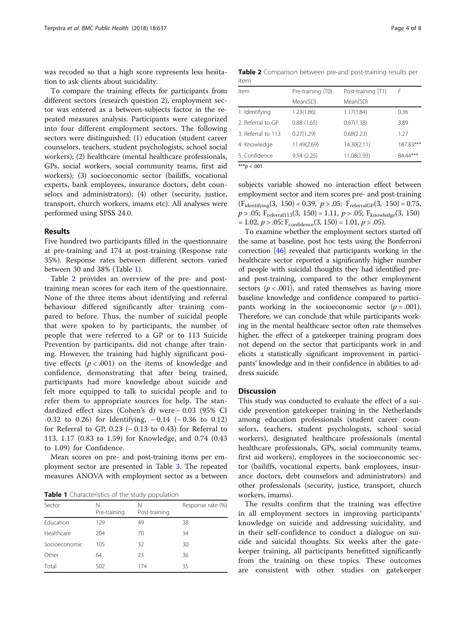was recoded so that a high score represents less hesitation to ask clients about suicidality.

To compare the training effects for participants from different sectors (research question 2), employment sector was entered as a between-subjects factor in the repeated measures analysis. Participants were categorized into four different employment sectors. The following sectors were distinguished: (1) education (student career counselors, teachers, student psychologists, school social workers); (2) healthcare (mental healthcare professionals, GPs, social workers, social community teams, first aid workers); (3) socioeconomic sector (bailiffs, vocational experts, bank employees, insurance doctors, debt counselors and administrators); (4) other (security, justice, transport, church workers, imams etc). All analyses were performed using SPSS 24.0.

### Results

Five hundred two participants filled in the questionnaire at pre-training and 174 at post-training (Response rate 35%). Response rates between different sectors varied between 30 and 38% (Table 1).

Table 2 provides an overview of the pre- and posttraining mean scores for each item of the questionnaire. None of the three items about identifying and referral behaviour differed significantly after training compared to before. Thus, the number of suicidal people that were spoken to by participants, the number of people that were referred to a GP or to 113 Suicide Prevention by participants, did not change after training. However, the training had highly significant positive effects  $(p < .001)$  on the items of knowledge and confidence, demonstrating that after being trained, participants had more knowledge about suicide and felt more equipped to talk to suicidal people and to refer them to appropriate sources for help. The standardized effect sizes (Cohen's d) were − 0.03 (95% CI -0.32 to 0.26) for Identifying, − 0.14 (− 0.36 to 0.12) for Referral to GP,  $0.23$  (− 0.13 to 0.43) for Referral to 113, 1.17 (0.83 to 1.59) for Knowledge, and 0.74 (0.43 to 1.09) for Confidence.

Mean scores on pre- and post-training items per employment sector are presented in Table [3.](#page-4-0) The repeated measures ANOVA with employment sector as a between

Table 1 Characteristics of the study population

| Sector           | Ν<br>Pre-training | Ν<br>Post-training | Response rate (%) |
|------------------|-------------------|--------------------|-------------------|
| <b>Education</b> | 129               | 49                 | 38                |
| Healthcare       | 204               | 70                 | 34                |
| Socioeconomic    | 105               | 32                 | 30                |
| Other            | 64                | 23                 | 36                |
| Total            | 502               | 174                | 35                |

Table 2 Comparison between pre-and post-training results per item

| Item               | Pre-training (T0) | Post-training (T1) | F         |
|--------------------|-------------------|--------------------|-----------|
|                    | Mean(SD)          | Mean(SD)           |           |
| 1. Identifying     | 1.23(1.86)        | 1.17(1.84)         | 0.36      |
| 2. Referral to GP  | 0.88(1.65)        | 0.67(1.38)         | 3.89      |
| 3. Referral to 113 | 0.27(1.29)        | 0.68(2.23)         | 1.27      |
| 4. Knowledge       | 11.49(2.69)       | 14.30(2.11)        | 187.83*** |
| 5. Confidence      | 9.54(2.25)        | 11.08(1.93)        | 84.44***  |
| *** $p < .001$     |                   |                    |           |

subjects variable showed no interaction effect between employment sector and item scores pre- and post-training  $(F_{\text{identifying}}(3, 150) = 0.39, p > 0.05; F_{\text{referralGP}}(3, 150) = 0.75,$  $p > .05$ ; F<sub>referral113</sub>(3, 150) = 1.11,  $p > .05$ ; F<sub>knowledge</sub>(3, 150)  $= 1.02, p > .05; F<sub>confidence</sub>(3, 150) = 1.01, p > .05$ .

To examine whether the employment sectors started off the same at baseline, post hoc tests using the Bonferroni correction [\[46\]](#page-7-0) revealed that participants working in the healthcare sector reported a significantly higher number of people with suicidal thoughts they had identified preand post-training, compared to the other employment sectors ( $p < .001$ ), and rated themselves as having more baseline knowledge and confidence compared to participants working in the socioeconomic sector  $(p=.001)$ . Therefore, we can conclude that while participants working in the mental healthcare sector often rate themselves higher, the effect of a gatekeeper training program does not depend on the sector that participants work in and elicits a statistically significant improvement in participants' knowledge and in their confidence in abilities to address suicide.

### **Discussion**

This study was conducted to evaluate the effect of a suicide prevention gatekeeper training in the Netherlands among education professionals (student career counselors, teachers, student psychologists, school social workers), designated healthcare professionals (mental healthcare professionals, GPs, social community teams, first aid workers), employees in the socioeconomic sector (bailiffs, vocational experts, bank employees, insurance doctors, debt counselors and administrators) and other professionals (security, justice, transport, church workers, imams).

The results confirm that the training was effective in all employment sectors in improving participants' knowledge on suicide and addressing suicidality, and in their self-confidence to conduct a dialogue on suicide and suicidal thoughts. Six weeks after the gatekeeper training, all participants benefitted significantly from the training on these topics. These outcomes are consistent with other studies on gatekeeper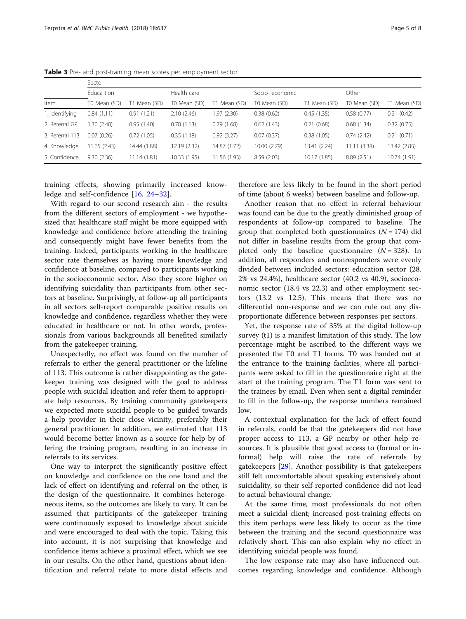|                 | Sector       |              |              |              |                |              |              |              |  |
|-----------------|--------------|--------------|--------------|--------------|----------------|--------------|--------------|--------------|--|
|                 | Educa tion   |              | Health care  |              | Socio-economic |              | Other        |              |  |
| Item            | T0 Mean (SD) | Mean (SD)    | T0 Mean (SD) | [1 Mean (SD) | T0 Mean (SD)   | T1 Mean (SD) | T0 Mean (SD) | T1 Mean (SD) |  |
| 1. Identifying  | 0.84(1.11)   | 0.91(1.21)   | 2.10(2.46)   | 1.97 (2.30)  | 0.38(0.62)     | 0.45(1.35)   | 0.58(0.77)   | 0.21(0.42)   |  |
| 2. Referral GP  | 1.30 (2.40)  | 0.95(1.40)   | 0.78(1.13)   | 0.79(1.68)   | 0.62(1.43)     | 0.21(0.68)   | 0.68(1.34)   | 0.32(0.75)   |  |
| 3. Referral 113 | 0.07(0.26)   | 0.72(1.05)   | 0.35(1.48)   | 0.92(3.27)   | 0.07(0.37)     | 0.38(1.05)   | 0.74(2.42)   | 0.21(0.71)   |  |
| 4. Knowledge    | 11.65(2.43)  | 14.44 (1.88) | 12.19 (2.32) | 14.87 (1.72) | 10.00 (2.79)   | 13.41 (2.24) | 11.11 (3.38) | 13.42 (2.85) |  |
| 5. Confidence   | 9.30(2.36)   | 11.14 (1.81) | 10.33 (1.95) | 11.56 (1.93) | 8.59(2.03)     | 10.17 (1.85) | 8.89 (2.51)  | 10.74 (1.91) |  |

<span id="page-4-0"></span>Table 3 Pre- and post-training mean scores per employment sector

training effects, showing primarily increased knowledge and self-confidence [\[16](#page-6-0), [24](#page-6-0)–[32\]](#page-6-0).

With regard to our second research aim - the results from the different sectors of employment - we hypothesized that healthcare staff might be more equipped with knowledge and confidence before attending the training and consequently might have fewer benefits from the training. Indeed, participants working in the healthcare sector rate themselves as having more knowledge and confidence at baseline, compared to participants working in the socioeconomic sector. Also they score higher on identifying suicidality than participants from other sectors at baseline. Surprisingly, at follow-up all participants in all sectors self-report comparable positive results on knowledge and confidence, regardless whether they were educated in healthcare or not. In other words, professionals from various backgrounds all benefited similarly from the gatekeeper training.

Unexpectedly, no effect was found on the number of referrals to either the general practitioner or the lifeline of 113. This outcome is rather disappointing as the gatekeeper training was designed with the goal to address people with suicidal ideation and refer them to appropriate help resources. By training community gatekeepers we expected more suicidal people to be guided towards a help provider in their close vicinity, preferably their general practitioner. In addition, we estimated that 113 would become better known as a source for help by offering the training program, resulting in an increase in referrals to its services.

One way to interpret the significantly positive effect on knowledge and confidence on the one hand and the lack of effect on identifying and referral on the other, is the design of the questionnaire. It combines heterogeneous items, so the outcomes are likely to vary. It can be assumed that participants of the gatekeeper training were continuously exposed to knowledge about suicide and were encouraged to deal with the topic. Taking this into account, it is not surprising that knowledge and confidence items achieve a proximal effect, which we see in our results. On the other hand, questions about identification and referral relate to more distal effects and

therefore are less likely to be found in the short period of time (about 6 weeks) between baseline and follow-up.

Another reason that no effect in referral behaviour was found can be due to the greatly diminished group of respondents at follow-up compared to baseline. The group that completed both questionnaires  $(N = 174)$  did not differ in baseline results from the group that completed only the baseline questionnaire  $(N = 328)$ . In addition, all responders and nonresponders were evenly divided between included sectors: education sector (28. 2% vs 24.4%), healthcare sector (40.2 vs 40.9), socioeconomic sector (18.4 vs 22.3) and other employment sectors (13.2 vs 12.5). This means that there was no differential non-response and we can rule out any disproportionate difference between responses per sectors.

Yet, the response rate of 35% at the digital follow-up survey (t1) is a manifest limitation of this study. The low percentage might be ascribed to the different ways we presented the T0 and T1 forms. T0 was handed out at the entrance to the training facilities, where all participants were asked to fill in the questionnaire right at the start of the training program. The T1 form was sent to the trainees by email. Even when sent a digital reminder to fill in the follow-up, the response numbers remained low.

A contextual explanation for the lack of effect found in referrals, could be that the gatekeepers did not have proper access to 113, a GP nearby or other help resources. It is plausible that good access to (formal or informal) help will raise the rate of referrals by gatekeepers [\[29](#page-6-0)]. Another possibility is that gatekeepers still felt uncomfortable about speaking extensively about suicidality, so their self-reported confidence did not lead to actual behavioural change.

At the same time, most professionals do not often meet a suicidal client; increased post-training effects on this item perhaps were less likely to occur as the time between the training and the second questionnaire was relatively short. This can also explain why no effect in identifying suicidal people was found.

The low response rate may also have influenced outcomes regarding knowledge and confidence. Although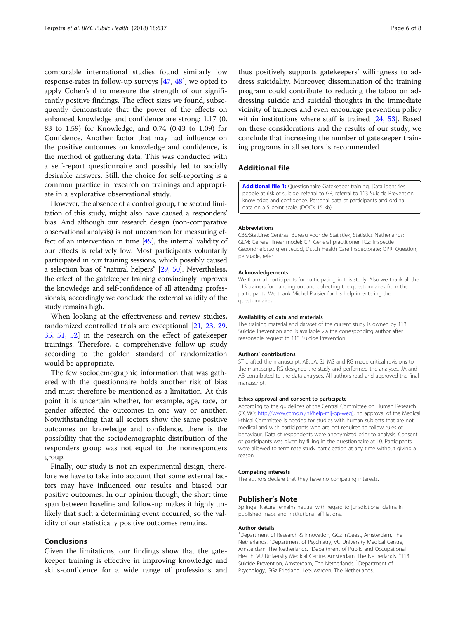<span id="page-5-0"></span>comparable international studies found similarly low response-rates in follow-up surveys [\[47](#page-7-0), [48](#page-7-0)], we opted to apply Cohen's d to measure the strength of our significantly positive findings. The effect sizes we found, subsequently demonstrate that the power of the effects on enhanced knowledge and confidence are strong: 1.17 (0. 83 to 1.59) for Knowledge, and 0.74 (0.43 to 1.09) for Confidence. Another factor that may had influence on the positive outcomes on knowledge and confidence, is the method of gathering data. This was conducted with a self-report questionnaire and possibly led to socially desirable answers. Still, the choice for self-reporting is a common practice in research on trainings and appropriate in a explorative observational study.

However, the absence of a control group, the second limitation of this study, might also have caused a responders' bias. And although our research design (non-comparative observational analysis) is not uncommon for measuring effect of an intervention in time [\[49\]](#page-7-0), the internal validity of our effects is relatively low. Most participants voluntarily participated in our training sessions, which possibly caused a selection bias of "natural helpers" [\[29,](#page-6-0) [50\]](#page-7-0). Nevertheless, the effect of the gatekeeper training convincingly improves the knowledge and self-confidence of all attending professionals, accordingly we conclude the external validity of the study remains high.

When looking at the effectiveness and review studies, randomized controlled trials are exceptional [\[21](#page-6-0), [23,](#page-6-0) [29](#page-6-0), [35,](#page-6-0) [51,](#page-7-0) [52](#page-7-0)] in the research on the effect of gatekeeper trainings. Therefore, a comprehensive follow-up study according to the golden standard of randomization would be appropriate.

The few sociodemographic information that was gathered with the questionnaire holds another risk of bias and must therefore be mentioned as a limitation. At this point it is uncertain whether, for example, age, race, or gender affected the outcomes in one way or another. Notwithstanding that all sectors show the same positive outcomes on knowledge and confidence, there is the possibility that the sociodemographic distribution of the responders group was not equal to the nonresponders group.

Finally, our study is not an experimental design, therefore we have to take into account that some external factors may have influenced our results and biased our positive outcomes. In our opinion though, the short time span between baseline and follow-up makes it highly unlikely that such a determining event occurred, so the validity of our statistically positive outcomes remains.

### Conclusions

Given the limitations, our findings show that the gatekeeper training is effective in improving knowledge and skills-confidence for a wide range of professions and

thus positively supports gatekeepers' willingness to address suicidality. Moreover, dissemination of the training program could contribute to reducing the taboo on addressing suicide and suicidal thoughts in the immediate vicinity of trainees and even encourage prevention policy within institutions where staff is trained [[24,](#page-6-0) [53\]](#page-7-0). Based on these considerations and the results of our study, we conclude that increasing the number of gatekeeper training programs in all sectors is recommended.

### Additional file

[Additional file 1:](https://doi.org/10.1186/s12889-018-5512-8) Questionnaire Gatekeeper training. Data identifies people at risk of suicide, referral to GP, referral to 113 Suicide Prevention, knowledge and confidence. Personal data of participants and ordinal data on a 5 point scale. (DOCX 15 kb)

#### Abbreviations

CBS/StatLine: Centraal Bureau voor de Statistiek, Statistics Netherlands; GLM: General linear model; GP: General practitioner; IGZ: Inspectie Gezondheidszorg en Jeugd, Dutch Health Care Inspectorate; QPR: Question, persuade, refer

### Acknowledgements

We thank all participants for participating in this study. Also we thank all the 113 trainers for handing out and collecting the questionnaires from the participants. We thank Michel Plaisier for his help in entering the questionnaires.

#### Availability of data and materials

The training material and dataset of the current study is owned by 113 Suicide Prevention and is available via the corresponding author after reasonable request to 113 Suicide Prevention.

#### Authors' contributions

ST drafted the manuscript. AB, JA, SJ, MS and RG made critical revisions to the manuscript. RG designed the study and performed the analyses. JA and AB contributed to the data analyses. All authors read and approved the final manuscript.

### Ethics approval and consent to participate

According to the guidelines of the Central Committee on Human Research (CCMO: <http://www.ccmo.nl/nl/help-mij-op-weg>), no approval of the Medical Ethical Committee is needed for studies with human subjects that are not medical and with participants who are not required to follow rules of behaviour. Data of respondents were anonymized prior to analysis. Consent of participants was given by filling in the questionnaire at T0. Participants were allowed to terminate study participation at any time without giving a reason.

### Competing interests

The authors declare that they have no competing interests.

#### Publisher's Note

Springer Nature remains neutral with regard to jurisdictional claims in published maps and institutional affiliations.

#### Author details

<sup>1</sup>Department of Research & Innovation, GGz InGeest, Amsterdam, The Netherlands. <sup>2</sup>Department of Psychiatry, VU University Medical Centre, Amsterdam, The Netherlands. <sup>3</sup>Department of Public and Occupational Health, VU University Medical Centre, Amsterdam, The Netherlands. <sup>4</sup>113 Suicide Prevention, Amsterdam, The Netherlands. <sup>5</sup>Department of Psychology, GGz Friesland, Leeuwarden, The Netherlands.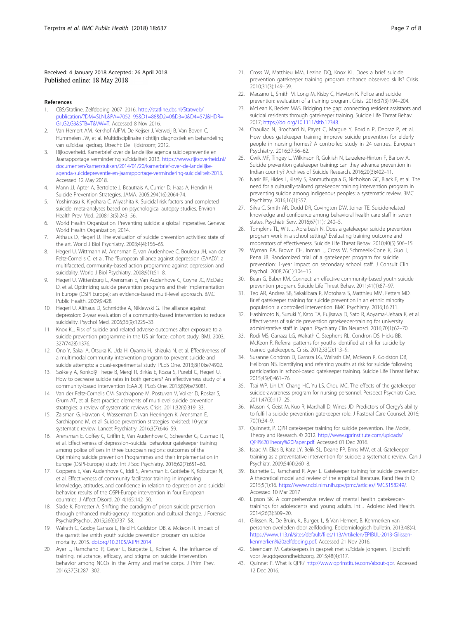### <span id="page-6-0"></span>Received: 4 January 2018 Accepted: 26 April 2018 Published online: 18 May 2018

- References
- 1. CBS/Statline. Zelfdoding 2007–2016. [http://statline.cbs.nl/Statweb/](http://statline.cbs.nl/Statweb/publication/?DM=SLNL&PA=7052_95&D1=88&D2=0&D3=0&D4=57,l&HDR=G1,G2,G3&STB=T&VW=T) [publication/?DM=SLNL&PA=7052\\_95&D1=88&D2=0&D3=0&D4=57,l&HDR=](http://statline.cbs.nl/Statweb/publication/?DM=SLNL&PA=7052_95&D1=88&D2=0&D3=0&D4=57,l&HDR=G1,G2,G3&STB=T&VW=T) [G1,G2,G3&STB=T&VW=T.](http://statline.cbs.nl/Statweb/publication/?DM=SLNL&PA=7052_95&D1=88&D2=0&D3=0&D4=57,l&HDR=G1,G2,G3&STB=T&VW=T) Accessed 8 Nov 2016.
- 2. Van Hemert AM, Kerkhof AJFM, De Keijser J, Verweij B, Van Boven C, Hummelen JW, et al. Multidisciplinaire richtlijn diagnostiek en behandeling van suïcidaal gedrag. Utrecht: De Tijdstroom; 2012.
- 3. Rijksoverheid. Kamerbrief over de landelijke agenda suïcidepreventie en Jaarrapportage vermindering suïcidaliteit 2013. [https://www.rijksoverheid.nl/](https://www.rijksoverheid.nl/documenten/kamerstukken/2014/01/20/kamerbrief-over-de-landelijke-agenda-suicidepreventie-en-jaarrapportage-vermindering-suicidaliteit-2013) [documenten/kamerstukken/2014/01/20/kamerbrief-over-de-landelijke](https://www.rijksoverheid.nl/documenten/kamerstukken/2014/01/20/kamerbrief-over-de-landelijke-agenda-suicidepreventie-en-jaarrapportage-vermindering-suicidaliteit-2013)[agenda-suicidepreventie-en-jaarrapportage-vermindering-suicidaliteit-2013.](https://www.rijksoverheid.nl/documenten/kamerstukken/2014/01/20/kamerbrief-over-de-landelijke-agenda-suicidepreventie-en-jaarrapportage-vermindering-suicidaliteit-2013) Accessed 12 May 2018.
- 4. Mann JJ, Apter A, Bertolote J, Beautrais A, Currier D, Haas A, Hendin H. Suicide Prevention Strategies. JAMA. 2005;294(16):2064-74.
- 5. Yoshimasu K, Kiyohara C, Miyashita K. Suicidal risk factors and completed suicide: meta-analyses based on psychological autopsy studies. Environ Health Prev Med. 2008;13(5):243–56.
- 6. World Health Organization. Preventing suicide: a global imperative. Geneva: World Health Organization; 2014.
- 7. Althaus D, Hegerl U. The evaluation of suicide prevention activities: state of the art. World J Biol Psychiatry. 2003;4(4):156–65.
- 8. Hegerl U, Wittmann M, Arensman E, van Audenhove C, Bouleau JH, van der Feltz-Cornelis C, et al. The "European alliance against depression (EAAD)": a multifaceted, community-based action programme against depression and suicidality. World J Biol Psychiatry. 2008;9(1):51–8.
- 9. Hegerl U, Wittenburg L, Arensman E, Van Audenhove C, Coyne JC, McDaid D, et al. Optimizing suicide prevention programs and their implementation in Europe (OSPI Europe): an evidence-based multi-level approach. BMC Public Health. 2009;9:428.
- 10. Hegerl U, Althaus D, Schmidtke A, Niklewski G. The alliance against depression: 2-year evaluation of a community-based intervention to reduce suicidality. Psychol Med. 2006;36(9):1225–33.
- 11. Knox KL. Risk of suicide and related adverse outcomes after exposure to a suicide prevention programme in the US air force: cohort study. BMJ. 2003; 327(7428):1376.
- 12. Ono Y, Sakai A, Otsuka K, Uda H, Oyama H, Ishizuka N, et al. Effectiveness of a multimodal community intervention program to prevent suicide and suicide attempts: a quasi-experimental study. PLoS One. 2013;8(10):e74902.
- 13. Székely A, Konkolÿ Thege B, Mergl R, Birkás E, Rózsa S, Purebl G, Hegerl U. How to decrease suicide rates in both genders? An effectiveness study of a community-based intervention (EAAD). PLoS One. 2013;8(9):e75081.
- 14. Van der Feltz-Cornelis CM, Sarchiapone M, Postuvan V, Volker D, Roskar S, Grum AT, et al. Best practice elements of multilevel suicide prevention strategies: a review of systematic reviews. Crisis. 2011;32(6):319–33.
- 15. Zalsman G, Hawton K, Wasserman D, van Heeringen K, Arensman E, Sarchiapone M, et al. Suicide prevention strategies revisited: 10-year systematic review. Lancet Psychiatry. 2016;3(7):646–59.
- 16. Arensman E, Coffey C, Griffin E, Van Audenhove C, Scheerder G, Gusmao R, et al. Effectiveness of depression–suicidal behaviour gatekeeper training among police officers in three European regions: outcomes of the Optimising suicide prevention Programmes and their implementation in Europe (OSPI-Europe) study. Int J Soc Psychiatry. 2016;62(7):651–60.
- 17. Coppens E, Van Audenhove C, Iddi S, Arensman E, Gottlebe K, Koburger N, et al. Effectiveness of community facilitator training in improving knowledge, attitudes, and confidence in relation to depression and suicidal behavior: results of the OSPI-Europe intervention in four European countries. J Affect Disord. 2014;165:142–50.
- 18. Slade K, Forrester A. Shifting the paradigm of prison suicide prevention through enhanced multi-agency integration and cultural change. J Forensic PsychiatPsychol. 2015;26(6):737–58.
- 19. Walrath C, Godoy Garraza L, Reid H, Goldston DB, & Mckeon R. Impact of the garrett lee smith youth suicide prevention program on suicide mortality. 2015. [doi.org/10.2105/AJPH.2014](http://doi.org/10.2105/AJPH.2014)
- 20. Ayer L, Ramchand R, Geyer L, Burgette L, Kofner A. The influence of training, reluctance, efficacy, and stigma on suicide intervention behavior among NCOs in the Army and marine corps. J Prim Prev. 2016;37(3):287–302.
- 21. Cross W, Matthieu MM, Lezine DQ, Knox KL. Does a brief suicide prevention gatekeeper training program enhance observed skills? Crisis. 2010;31(3):149–59.
- 22. Marzano L, Smith M, Long M, Kisby C, Hawton K. Police and suicide prevention: evaluation of a training program. Crisis. 2016;37(3):194–204.
- 23. McLean K, Becker MAS. Bridging the gap: connecting resident assistants and suicidal residents through gatekeeper training. Suicide Life Threat Behav. 2017; <https://doi.org/10.1111/sltb.12348>.
- 24. Chauliac N, Brochard N, Payet C, Margue Y, Bordin P, Depraz P, et al. How does gatekeeper training improve suicide prevention for elderly people in nursing homes? A controlled study in 24 centres. European Psychiatry. 2016;37:56–62.
- 25. Cwik MF, Tingey L, Wilkinson R, Goklish N, Larzelere-Hinton F, Barlow A. Suicide prevention gatekeeper training: can they advance prevention in Indian country? Archives of Suicide Research. 2016;20(3):402–11.
- 26. Nasir BF, Hides L, Kisely S, Ranmuthugala G, Nicholson GC, Black E, et al. The need for a culturally-tailored gatekeeper training intervention program in preventing suicide among indigenous peoples: a systematic review. BMC Psychiatry. 2016;16(1):357.
- 27. Silva C, Smith AR, Dodd DR, Covington DW, Joiner TE. Suicide-related knowledge and confidence among behavioral health care staff in seven states. Psychiatr Serv. 2016;67(11):1240–5.
- 28. Tompkins TL, Witt J, Abraibesh N. Does a gatekeeper suicide prevention program work in a school setting? Evaluating training outcome and moderators of effectiveness. Suicide Life Threat Behav. 2010;40(5):506–15.
- 29. Wyman PA, Brown CH, Inman J, Cross W, Schmeelk-Cone K, Guo J, Pena JB. Randomized trial of a gatekeeper program for suicide prevention: 1-year impact on secondary school staff. J Consult Clin Psychol. 2008;76(1):104–15.
- 30. Bean G, Baber KM. Connect: an effective community-based youth suicide prevention program. Suicide Life Threat Behav. 2011;41(1):87–97.
- 31. Teo AR, Andrea SB, Sakakibara R, Motohara S, Matthieu MM, Fetters MD. Brief gatekeeper training for suicide prevention in an ethnic minority population: a controlled intervention. BMC Psychiatry. 2016;16:211.
- 32. Hashimoto N, Suzuki Y, Kato TA, Fujisawa D, Sato R, Aoyama-Uehara K, et al. Effectiveness of suicide prevention gatekeeper-training for university administrative staff in Japan. Psychiatry Clin Neurosci. 2016;70(1):62–70.
- 33. Rodi MS, Garraza LG, Walrath C, Stephens RL, Condron DS, Hicks BB, McKeon R. Referral patterns for youths identified at risk for suicide by trained gatekeepers. Crisis. 2012;33(2):113–9.
- 34. Susanne Condron D, Garraza LG, Walrath CM, McKeon R, Goldston DB, Heilbron NS. Identifying and referring youths at risk for suicide following participation in school-based gatekeeper training. Suicide Life Threat Behav. 2015;45(4):461–76.
- 35. Tsai WP, Lin LY, Chang HC, Yu LS, Chou MC. The effects of the gatekeeper suicide-awareness program for nursing personnel. Perspect Psychiatr Care. 2011;47(3):117–25.
- 36. Mason K, Geist M, Kuo R, Marshall D, Wines JD. Predictors of Clergy's ability to fulfill a suicide prevention gatekeeper role. J Pastoral Care Counsel. 2016; 70(1):34–9.
- 37. Quinnett, P. QPR gatekeeper training for suicide prevention. The Model, Theory and Research. © 2012. [http://www.qprinstitute.com/uploads/](http://www.qprinstitute.com/uploads/QPR%20Theory%20Paper.pdf) [QPR%20Theory%20Paper.pdf.](http://www.qprinstitute.com/uploads/QPR%20Theory%20Paper.pdf) Accessed 01 Dec 2016.
- 38. Isaac M, Elias B, Katz LY, Belik SL, Deane FP, Enns MW, et al. Gatekeeper training as a preventative intervention for suicide: a systematic review. Can J Psychiatr. 2009;54(4):260–8.
- 39. Burnette C, Ramchand R, Ayer L. Gatekeeper training for suicide prevention. A theoretical model and review of the empirical literature. Rand Health Q. 2015;5(1):16. <https://www.ncbi.nlm.nih.gov/pmc/articles/PMC5158249/>. Accessed 10 Mar 2017
- 40. Lipson SK. A comprehensive review of mental health gatekeepertrainings for adolescents and young adults. Int J Adolesc Med Health. 2014;26(3):309–20.
- 41. Gilissen, R., De Bruin, K., Burger, I., & Van Hemert, B. Kenmerken van personen overleden door zelfdoding. Epidemiologisch bulletin. 2013;48(4). [https://www.113.nl/sites/default/files/113/Artikelen/EPIBUL-2013-Gilissen](https://www.113.nl/sites/default/files/113/Artikelen/EPIBUL-2013-Gilissen-kenmerken%20zelfdoding.pdf)[kenmerken%20zelfdoding.pdf](https://www.113.nl/sites/default/files/113/Artikelen/EPIBUL-2013-Gilissen-kenmerken%20zelfdoding.pdf). Accessed 21 Nov 2016.
- 42. Steendam M. Gatekeepers in gesprek met suïcidale jongeren. Tijdschrift voor Jeugdgezondheidszorg. 2015;48(4):117.
- 43. Quinnet P. What is QPR? [http://www.qprinstitute.com/about-qpr.](http://www.qprinstitute.com/about-qpr) Accessed 12 Dec 2016.